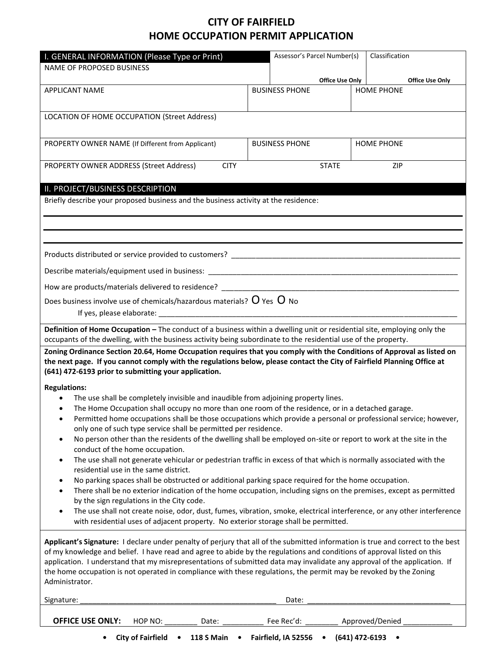## **CITY OF FAIRFIELD HOME OCCUPATION PERMIT APPLICATION**

| I. GENERAL INFORMATION (Please Type or Print)                                                                                                                                           | Assessor's Parcel Number(s) |                        | Classification         |  |
|-----------------------------------------------------------------------------------------------------------------------------------------------------------------------------------------|-----------------------------|------------------------|------------------------|--|
| <b>NAME OF PROPOSED BUSINESS</b>                                                                                                                                                        |                             |                        |                        |  |
|                                                                                                                                                                                         |                             | <b>Office Use Only</b> | <b>Office Use Only</b> |  |
| <b>APPLICANT NAME</b>                                                                                                                                                                   | <b>BUSINESS PHONE</b>       |                        | <b>HOME PHONE</b>      |  |
|                                                                                                                                                                                         |                             |                        |                        |  |
| LOCATION OF HOME OCCUPATION (Street Address)                                                                                                                                            |                             |                        |                        |  |
|                                                                                                                                                                                         |                             |                        |                        |  |
| PROPERTY OWNER NAME (If Different from Applicant)                                                                                                                                       | <b>BUSINESS PHONE</b>       |                        | <b>HOME PHONE</b>      |  |
|                                                                                                                                                                                         |                             |                        |                        |  |
| PROPERTY OWNER ADDRESS (Street Address)<br><b>CITY</b>                                                                                                                                  | <b>STATE</b>                |                        | <b>ZIP</b>             |  |
| II. PROJECT/BUSINESS DESCRIPTION                                                                                                                                                        |                             |                        |                        |  |
| Briefly describe your proposed business and the business activity at the residence:                                                                                                     |                             |                        |                        |  |
|                                                                                                                                                                                         |                             |                        |                        |  |
|                                                                                                                                                                                         |                             |                        |                        |  |
|                                                                                                                                                                                         |                             |                        |                        |  |
|                                                                                                                                                                                         |                             |                        |                        |  |
|                                                                                                                                                                                         |                             |                        |                        |  |
|                                                                                                                                                                                         |                             |                        |                        |  |
| How are products/materials delivered to residence? _____                                                                                                                                |                             |                        |                        |  |
| Does business involve use of chemicals/hazardous materials? $O$ Yes $O$ No                                                                                                              |                             |                        |                        |  |
|                                                                                                                                                                                         |                             |                        |                        |  |
| Definition of Home Occupation - The conduct of a business within a dwelling unit or residential site, employing only the                                                                |                             |                        |                        |  |
| occupants of the dwelling, with the business activity being subordinate to the residential use of the property.                                                                         |                             |                        |                        |  |
| Zoning Ordinance Section 20.64, Home Occupation requires that you comply with the Conditions of Approval as listed on                                                                   |                             |                        |                        |  |
| the next page. If you cannot comply with the regulations below, please contact the City of Fairfield Planning Office at                                                                 |                             |                        |                        |  |
| (641) 472-6193 prior to submitting your application.                                                                                                                                    |                             |                        |                        |  |
| <b>Regulations:</b>                                                                                                                                                                     |                             |                        |                        |  |
| The use shall be completely invisible and inaudible from adjoining property lines.<br>The Home Occupation shall occupy no more than one room of the residence, or in a detached garage. |                             |                        |                        |  |
| Permitted home occupations shall be those occupations which provide a personal or professional service; however,<br>٠                                                                   |                             |                        |                        |  |
| only one of such type service shall be permitted per residence.                                                                                                                         |                             |                        |                        |  |
| No person other than the residents of the dwelling shall be employed on-site or report to work at the site in the<br>$\bullet$                                                          |                             |                        |                        |  |
| conduct of the home occupation.                                                                                                                                                         |                             |                        |                        |  |
| The use shall not generate vehicular or pedestrian traffic in excess of that which is normally associated with the<br>$\bullet$<br>residential use in the same district.                |                             |                        |                        |  |
| No parking spaces shall be obstructed or additional parking space required for the home occupation.<br>٠                                                                                |                             |                        |                        |  |
| There shall be no exterior indication of the home occupation, including signs on the premises, except as permitted                                                                      |                             |                        |                        |  |
| by the sign regulations in the City code.                                                                                                                                               |                             |                        |                        |  |
| The use shall not create noise, odor, dust, fumes, vibration, smoke, electrical interference, or any other interference                                                                 |                             |                        |                        |  |
| with residential uses of adjacent property. No exterior storage shall be permitted.                                                                                                     |                             |                        |                        |  |
| Applicant's Signature: I declare under penalty of perjury that all of the submitted information is true and correct to the best                                                         |                             |                        |                        |  |
| of my knowledge and belief. I have read and agree to abide by the regulations and conditions of approval listed on this                                                                 |                             |                        |                        |  |
| application. I understand that my misrepresentations of submitted data may invalidate any approval of the application. If                                                               |                             |                        |                        |  |
| the home occupation is not operated in compliance with these regulations, the permit may be revoked by the Zoning<br>Administrator.                                                     |                             |                        |                        |  |
|                                                                                                                                                                                         |                             |                        |                        |  |
| Signature:                                                                                                                                                                              | Date:                       |                        |                        |  |
|                                                                                                                                                                                         |                             |                        |                        |  |
| <b>OFFICE USE ONLY:</b><br>HOP NO:<br>Date:                                                                                                                                             | Fee Rec'd:                  |                        | Approved/Denied        |  |

**• City of Fairfield • 118 S Main • Fairfield, IA 52556 • (641) 472-6193 •**